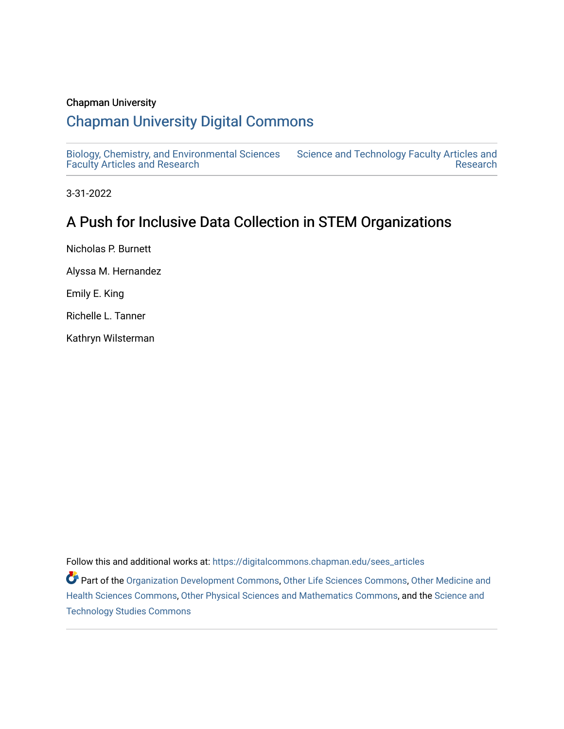## Chapman University

# [Chapman University Digital Commons](https://digitalcommons.chapman.edu/)

[Biology, Chemistry, and Environmental Sciences](https://digitalcommons.chapman.edu/sees_articles) [Faculty Articles and Research](https://digitalcommons.chapman.edu/sees_articles) [Science and Technology Faculty Articles and](https://digitalcommons.chapman.edu/science_articles)  [Research](https://digitalcommons.chapman.edu/science_articles) 

3-31-2022

# A Push for Inclusive Data Collection in STEM Organizations

Nicholas P. Burnett Alyssa M. Hernandez Emily E. King Richelle L. Tanner Kathryn Wilsterman

Follow this and additional works at: [https://digitalcommons.chapman.edu/sees\\_articles](https://digitalcommons.chapman.edu/sees_articles?utm_source=digitalcommons.chapman.edu%2Fsees_articles%2F522&utm_medium=PDF&utm_campaign=PDFCoverPages) 

Part of the [Organization Development Commons](https://network.bepress.com/hgg/discipline/1242?utm_source=digitalcommons.chapman.edu%2Fsees_articles%2F522&utm_medium=PDF&utm_campaign=PDFCoverPages), [Other Life Sciences Commons](https://network.bepress.com/hgg/discipline/113?utm_source=digitalcommons.chapman.edu%2Fsees_articles%2F522&utm_medium=PDF&utm_campaign=PDFCoverPages), [Other Medicine and](https://network.bepress.com/hgg/discipline/772?utm_source=digitalcommons.chapman.edu%2Fsees_articles%2F522&utm_medium=PDF&utm_campaign=PDFCoverPages)  [Health Sciences Commons](https://network.bepress.com/hgg/discipline/772?utm_source=digitalcommons.chapman.edu%2Fsees_articles%2F522&utm_medium=PDF&utm_campaign=PDFCoverPages), [Other Physical Sciences and Mathematics Commons,](https://network.bepress.com/hgg/discipline/216?utm_source=digitalcommons.chapman.edu%2Fsees_articles%2F522&utm_medium=PDF&utm_campaign=PDFCoverPages) and the [Science and](https://network.bepress.com/hgg/discipline/435?utm_source=digitalcommons.chapman.edu%2Fsees_articles%2F522&utm_medium=PDF&utm_campaign=PDFCoverPages)  [Technology Studies Commons](https://network.bepress.com/hgg/discipline/435?utm_source=digitalcommons.chapman.edu%2Fsees_articles%2F522&utm_medium=PDF&utm_campaign=PDFCoverPages)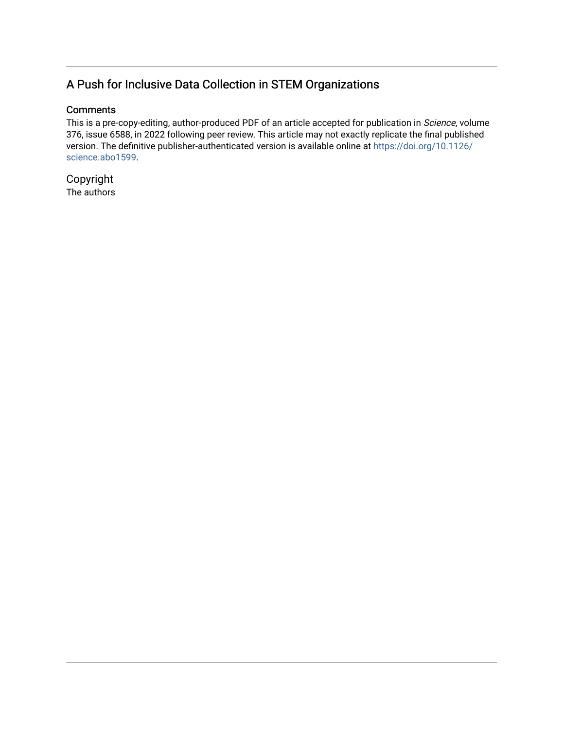# A Push for Inclusive Data Collection in STEM Organizations

## **Comments**

This is a pre-copy-editing, author-produced PDF of an article accepted for publication in Science, volume 376, issue 6588, in 2022 following peer review. This article may not exactly replicate the final published version. The definitive publisher-authenticated version is available online at [https://doi.org/10.1126/](https://doi.org/10.1126/science.abo1599) [science.abo1599](https://doi.org/10.1126/science.abo1599).

Copyright The authors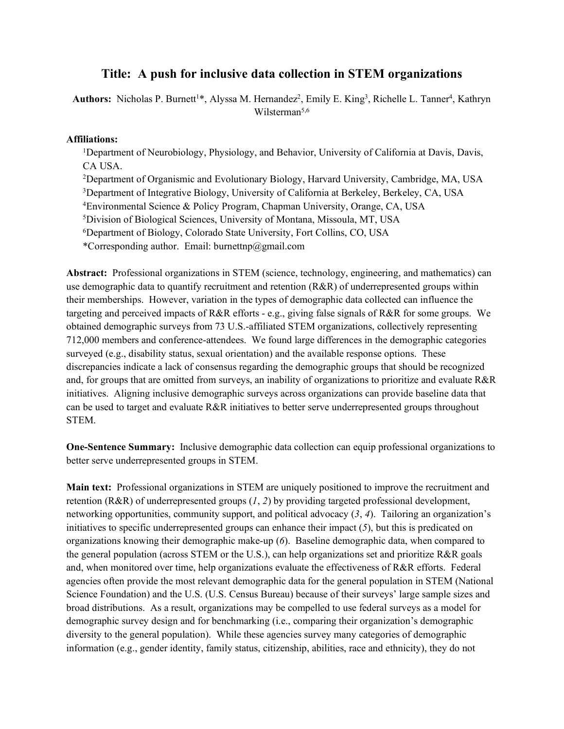# **Title: A push for inclusive data collection in STEM organizations**

Authors: Nicholas P. Burnett<sup>1\*</sup>, Alyssa M. Hernandez<sup>2</sup>, Emily E. King<sup>3</sup>, Richelle L. Tanner<sup>4</sup>, Kathryn Wilsterman<sup>5,6</sup>

### **Affiliations:**

1Department of Neurobiology, Physiology, and Behavior, University of California at Davis, Davis, CA USA.

2Department of Organismic and Evolutionary Biology, Harvard University, Cambridge, MA, USA <sup>3</sup>Department of Integrative Biology, University of California at Berkeley, Berkeley, CA, USA 4Environmental Science & Policy Program, Chapman University, Orange, CA, USA 5Division of Biological Sciences, University of Montana, Missoula, MT, USA 6Department of Biology, Colorado State University, Fort Collins, CO, USA \*Corresponding author. Email: burnettnp@gmail.com

**Abstract:** Professional organizations in STEM (science, technology, engineering, and mathematics) can use demographic data to quantify recruitment and retention (R&R) of underrepresented groups within their memberships. However, variation in the types of demographic data collected can influence the targeting and perceived impacts of R&R efforts - e.g., giving false signals of R&R for some groups. We obtained demographic surveys from 73 U.S.-affiliated STEM organizations, collectively representing 712,000 members and conference-attendees. We found large differences in the demographic categories surveyed (e.g., disability status, sexual orientation) and the available response options. These discrepancies indicate a lack of consensus regarding the demographic groups that should be recognized and, for groups that are omitted from surveys, an inability of organizations to prioritize and evaluate R&R initiatives. Aligning inclusive demographic surveys across organizations can provide baseline data that can be used to target and evaluate  $R\&R$  initiatives to better serve underrepresented groups throughout STEM.

**One-Sentence Summary:** Inclusive demographic data collection can equip professional organizations to better serve underrepresented groups in STEM.

**Main text:** Professional organizations in STEM are uniquely positioned to improve the recruitment and retention (R&R) of underrepresented groups (*1*, *2*) by providing targeted professional development, networking opportunities, community support, and political advocacy (*3*, *4*). Tailoring an organization's initiatives to specific underrepresented groups can enhance their impact  $(5)$ , but this is predicated on organizations knowing their demographic make-up (*6*). Baseline demographic data, when compared to the general population (across STEM or the U.S.), can help organizations set and prioritize R&R goals and, when monitored over time, help organizations evaluate the effectiveness of R&R efforts. Federal agencies often provide the most relevant demographic data for the general population in STEM (National Science Foundation) and the U.S. (U.S. Census Bureau) because of their surveys' large sample sizes and broad distributions. As a result, organizations may be compelled to use federal surveys as a model for demographic survey design and for benchmarking (i.e., comparing their organization's demographic diversity to the general population). While these agencies survey many categories of demographic information (e.g., gender identity, family status, citizenship, abilities, race and ethnicity), they do not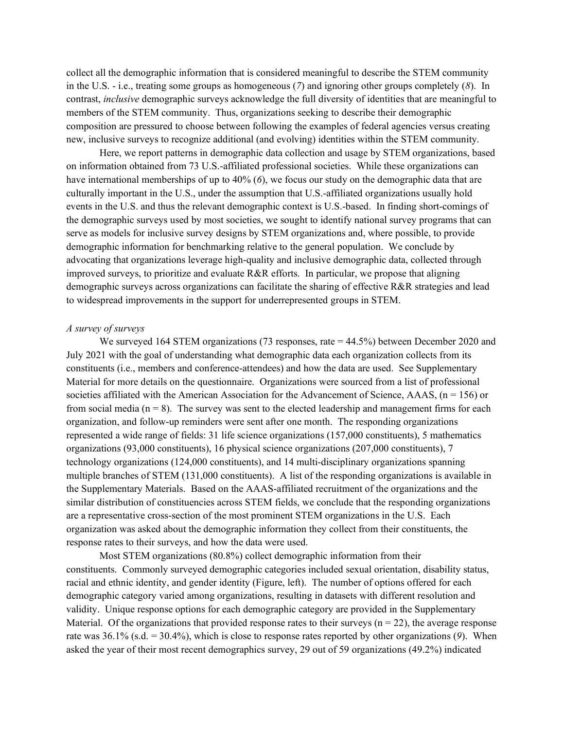collect all the demographic information that is considered meaningful to describe the STEM community in the U.S. - i.e., treating some groups as homogeneous (*7*) and ignoring other groups completely (*8*). In contrast, *inclusive* demographic surveys acknowledge the full diversity of identities that are meaningful to members of the STEM community. Thus, organizations seeking to describe their demographic composition are pressured to choose between following the examples of federal agencies versus creating new, inclusive surveys to recognize additional (and evolving) identities within the STEM community.

Here, we report patterns in demographic data collection and usage by STEM organizations, based on information obtained from 73 U.S.-affiliated professional societies. While these organizations can have international memberships of up to 40% (*6*), we focus our study on the demographic data that are culturally important in the U.S., under the assumption that U.S.-affiliated organizations usually hold events in the U.S. and thus the relevant demographic context is U.S.-based. In finding short-comings of the demographic surveys used by most societies, we sought to identify national survey programs that can serve as models for inclusive survey designs by STEM organizations and, where possible, to provide demographic information for benchmarking relative to the general population. We conclude by advocating that organizations leverage high-quality and inclusive demographic data, collected through improved surveys, to prioritize and evaluate R&R efforts. In particular, we propose that aligning demographic surveys across organizations can facilitate the sharing of effective R&R strategies and lead to widespread improvements in the support for underrepresented groups in STEM.

#### *A survey of surveys*

We surveyed 164 STEM organizations (73 responses, rate = 44.5%) between December 2020 and July 2021 with the goal of understanding what demographic data each organization collects from its constituents (i.e., members and conference-attendees) and how the data are used. See Supplementary Material for more details on the questionnaire. Organizations were sourced from a list of professional societies affiliated with the American Association for the Advancement of Science, AAAS,  $(n = 156)$  or from social media ( $n = 8$ ). The survey was sent to the elected leadership and management firms for each organization, and follow-up reminders were sent after one month. The responding organizations represented a wide range of fields: 31 life science organizations (157,000 constituents), 5 mathematics organizations (93,000 constituents), 16 physical science organizations (207,000 constituents), 7 technology organizations (124,000 constituents), and 14 multi-disciplinary organizations spanning multiple branches of STEM (131,000 constituents). A list of the responding organizations is available in the Supplementary Materials. Based on the AAAS-affiliated recruitment of the organizations and the similar distribution of constituencies across STEM fields, we conclude that the responding organizations are a representative cross-section of the most prominent STEM organizations in the U.S. Each organization was asked about the demographic information they collect from their constituents, the response rates to their surveys, and how the data were used.

Most STEM organizations (80.8%) collect demographic information from their constituents. Commonly surveyed demographic categories included sexual orientation, disability status, racial and ethnic identity, and gender identity (Figure, left). The number of options offered for each demographic category varied among organizations, resulting in datasets with different resolution and validity. Unique response options for each demographic category are provided in the Supplementary Material. Of the organizations that provided response rates to their surveys ( $n = 22$ ), the average response rate was 36.1% (s.d. = 30.4%), which is close to response rates reported by other organizations (*9*). When asked the year of their most recent demographics survey, 29 out of 59 organizations (49.2%) indicated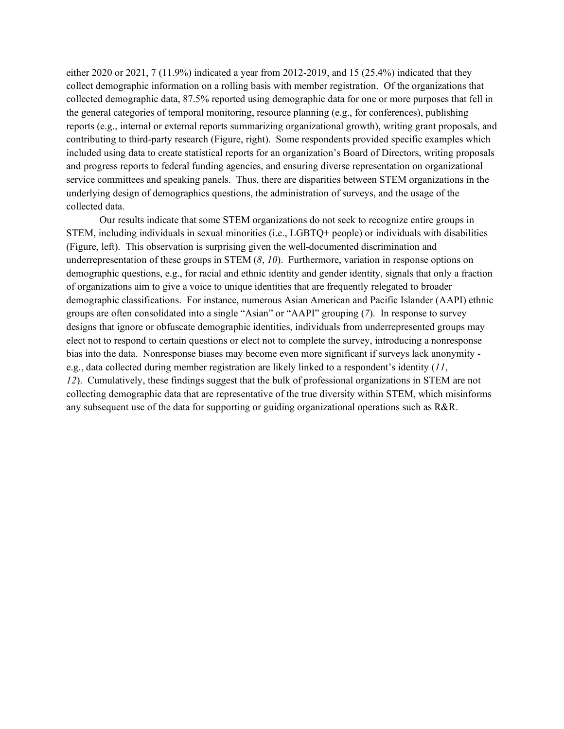either 2020 or 2021, 7 (11.9%) indicated a year from 2012-2019, and 15 (25.4%) indicated that they collect demographic information on a rolling basis with member registration. Of the organizations that collected demographic data, 87.5% reported using demographic data for one or more purposes that fell in the general categories of temporal monitoring, resource planning (e.g., for conferences), publishing reports (e.g., internal or external reports summarizing organizational growth), writing grant proposals, and contributing to third-party research (Figure, right). Some respondents provided specific examples which included using data to create statistical reports for an organization's Board of Directors, writing proposals and progress reports to federal funding agencies, and ensuring diverse representation on organizational service committees and speaking panels. Thus, there are disparities between STEM organizations in the underlying design of demographics questions, the administration of surveys, and the usage of the collected data.

Our results indicate that some STEM organizations do not seek to recognize entire groups in STEM, including individuals in sexual minorities (i.e., LGBTQ+ people) or individuals with disabilities (Figure, left). This observation is surprising given the well-documented discrimination and underrepresentation of these groups in STEM (*8*, *10*). Furthermore, variation in response options on demographic questions, e.g., for racial and ethnic identity and gender identity, signals that only a fraction of organizations aim to give a voice to unique identities that are frequently relegated to broader demographic classifications. For instance, numerous Asian American and Pacific Islander (AAPI) ethnic groups are often consolidated into a single "Asian" or "AAPI" grouping (*7*). In response to survey designs that ignore or obfuscate demographic identities, individuals from underrepresented groups may elect not to respond to certain questions or elect not to complete the survey, introducing a nonresponse bias into the data. Nonresponse biases may become even more significant if surveys lack anonymity e.g., data collected during member registration are likely linked to a respondent's identity (*11*, *12*). Cumulatively, these findings suggest that the bulk of professional organizations in STEM are not collecting demographic data that are representative of the true diversity within STEM, which misinforms any subsequent use of the data for supporting or guiding organizational operations such as R&R.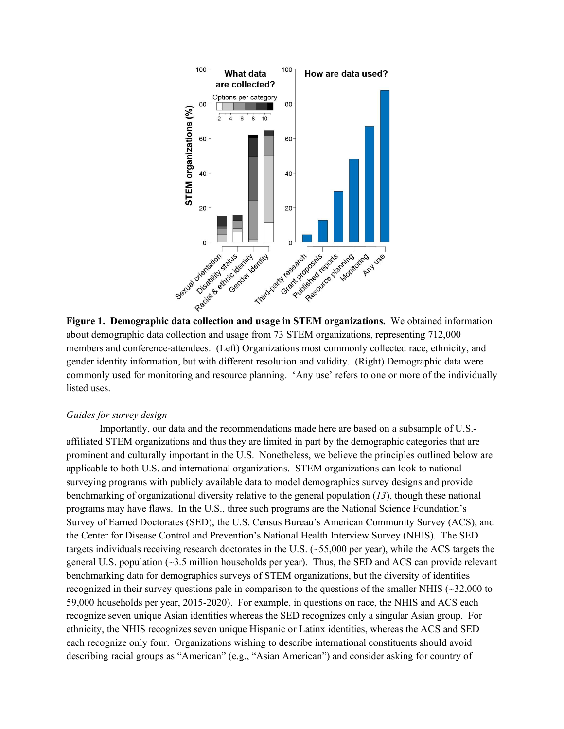

about demographic data collection and usage from 73 STEM organizations, representing 712,000 members and conference-attendees. (Left) Organizations most commonly collected race, ethnicity, and gender identity information, but with different resolution and validity. (Right) Demographic data were commonly used for monitoring and resource planning. 'Any use' refers to one or more of the individually listed uses.

### *Guides for survey design*

Importantly, our data and the recommendations made here are based on a subsample of U.S. affiliated STEM organizations and thus they are limited in part by the demographic categories that are prominent and culturally important in the U.S. Nonetheless, we believe the principles outlined below are applicable to both U.S. and international organizations. STEM organizations can look to national surveying programs with publicly available data to model demographics survey designs and provide benchmarking of organizational diversity relative to the general population (*13*), though these national programs may have flaws. In the U.S., three such programs are the National Science Foundation's Survey of Earned Doctorates (SED), the U.S. Census Bureau's American Community Survey (ACS), and the Center for Disease Control and Prevention's National Health Interview Survey (NHIS). The SED targets individuals receiving research doctorates in the U.S. (~55,000 per year), while the ACS targets the general U.S. population (~3.5 million households per year). Thus, the SED and ACS can provide relevant benchmarking data for demographics surveys of STEM organizations, but the diversity of identities recognized in their survey questions pale in comparison to the questions of the smaller NHIS (~32,000 to 59,000 households per year, 2015-2020). For example, in questions on race, the NHIS and ACS each recognize seven unique Asian identities whereas the SED recognizes only a singular Asian group. For ethnicity, the NHIS recognizes seven unique Hispanic or Latinx identities, whereas the ACS and SED each recognize only four. Organizations wishing to describe international constituents should avoid describing racial groups as "American" (e.g., "Asian American") and consider asking for country of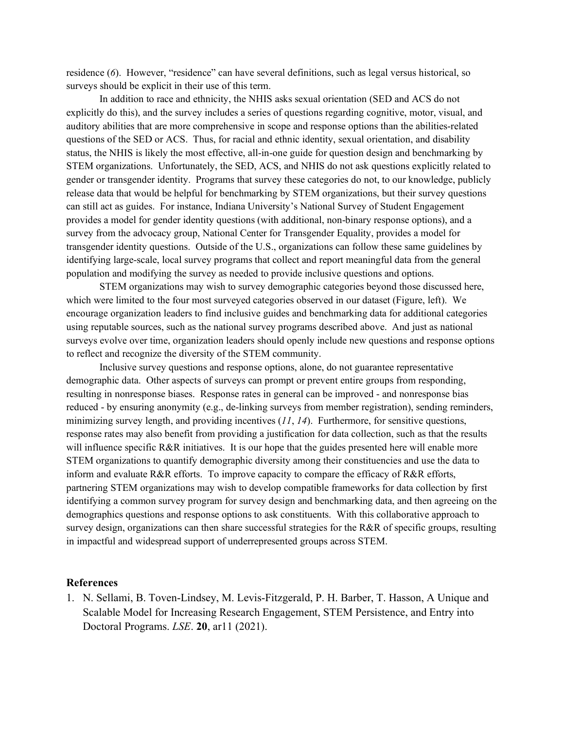residence (*6*). However, "residence" can have several definitions, such as legal versus historical, so surveys should be explicit in their use of this term.

In addition to race and ethnicity, the NHIS asks sexual orientation (SED and ACS do not explicitly do this), and the survey includes a series of questions regarding cognitive, motor, visual, and auditory abilities that are more comprehensive in scope and response options than the abilities-related questions of the SED or ACS. Thus, for racial and ethnic identity, sexual orientation, and disability status, the NHIS is likely the most effective, all-in-one guide for question design and benchmarking by STEM organizations. Unfortunately, the SED, ACS, and NHIS do not ask questions explicitly related to gender or transgender identity. Programs that survey these categories do not, to our knowledge, publicly release data that would be helpful for benchmarking by STEM organizations, but their survey questions can still act as guides. For instance, Indiana University's National Survey of Student Engagement provides a model for gender identity questions (with additional, non-binary response options), and a survey from the advocacy group, National Center for Transgender Equality, provides a model for transgender identity questions. Outside of the U.S., organizations can follow these same guidelines by identifying large-scale, local survey programs that collect and report meaningful data from the general population and modifying the survey as needed to provide inclusive questions and options.

STEM organizations may wish to survey demographic categories beyond those discussed here, which were limited to the four most surveyed categories observed in our dataset (Figure, left). We encourage organization leaders to find inclusive guides and benchmarking data for additional categories using reputable sources, such as the national survey programs described above. And just as national surveys evolve over time, organization leaders should openly include new questions and response options to reflect and recognize the diversity of the STEM community.

Inclusive survey questions and response options, alone, do not guarantee representative demographic data. Other aspects of surveys can prompt or prevent entire groups from responding, resulting in nonresponse biases. Response rates in general can be improved - and nonresponse bias reduced - by ensuring anonymity (e.g., de-linking surveys from member registration), sending reminders, minimizing survey length, and providing incentives (*11*, *14*). Furthermore, for sensitive questions, response rates may also benefit from providing a justification for data collection, such as that the results will influence specific R&R initiatives. It is our hope that the guides presented here will enable more STEM organizations to quantify demographic diversity among their constituencies and use the data to inform and evaluate R&R efforts. To improve capacity to compare the efficacy of R&R efforts, partnering STEM organizations may wish to develop compatible frameworks for data collection by first identifying a common survey program for survey design and benchmarking data, and then agreeing on the demographics questions and response options to ask constituents. With this collaborative approach to survey design, organizations can then share successful strategies for the R&R of specific groups, resulting in impactful and widespread support of underrepresented groups across STEM.

#### **References**

1. N. Sellami, B. Toven-Lindsey, M. Levis-Fitzgerald, P. H. Barber, T. Hasson, A Unique and Scalable Model for Increasing Research Engagement, STEM Persistence, and Entry into Doctoral Programs. *LSE*. **20**, ar11 (2021).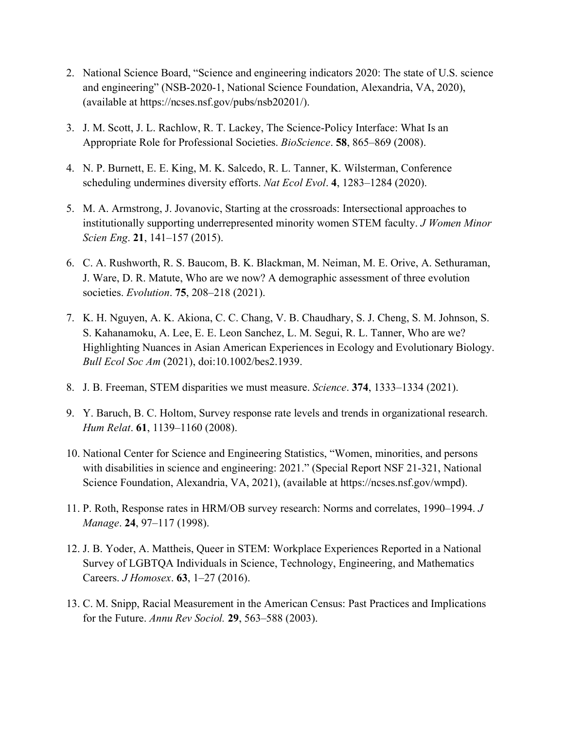- 2. National Science Board, "Science and engineering indicators 2020: The state of U.S. science and engineering" (NSB-2020-1, National Science Foundation, Alexandria, VA, 2020), (available at https://ncses.nsf.gov/pubs/nsb20201/).
- 3. J. M. Scott, J. L. Rachlow, R. T. Lackey, The Science-Policy Interface: What Is an Appropriate Role for Professional Societies. *BioScience*. **58**, 865–869 (2008).
- 4. N. P. Burnett, E. E. King, M. K. Salcedo, R. L. Tanner, K. Wilsterman, Conference scheduling undermines diversity efforts. *Nat Ecol Evol*. **4**, 1283–1284 (2020).
- 5. M. A. Armstrong, J. Jovanovic, Starting at the crossroads: Intersectional approaches to institutionally supporting underrepresented minority women STEM faculty. *J Women Minor Scien Eng*. **21**, 141–157 (2015).
- 6. C. A. Rushworth, R. S. Baucom, B. K. Blackman, M. Neiman, M. E. Orive, A. Sethuraman, J. Ware, D. R. Matute, Who are we now? A demographic assessment of three evolution societies. *Evolution*. **75**, 208–218 (2021).
- 7. K. H. Nguyen, A. K. Akiona, C. C. Chang, V. B. Chaudhary, S. J. Cheng, S. M. Johnson, S. S. Kahanamoku, A. Lee, E. E. Leon Sanchez, L. M. Segui, R. L. Tanner, Who are we? Highlighting Nuances in Asian American Experiences in Ecology and Evolutionary Biology. *Bull Ecol Soc Am* (2021), doi:10.1002/bes2.1939.
- 8. J. B. Freeman, STEM disparities we must measure. *Science*. **374**, 1333–1334 (2021).
- 9. Y. Baruch, B. C. Holtom, Survey response rate levels and trends in organizational research. *Hum Relat*. **61**, 1139–1160 (2008).
- 10. National Center for Science and Engineering Statistics, "Women, minorities, and persons with disabilities in science and engineering: 2021." (Special Report NSF 21-321, National Science Foundation, Alexandria, VA, 2021), (available at https://ncses.nsf.gov/wmpd).
- 11. P. Roth, Response rates in HRM/OB survey research: Norms and correlates, 1990–1994. *J Manage*. **24**, 97–117 (1998).
- 12. J. B. Yoder, A. Mattheis, Queer in STEM: Workplace Experiences Reported in a National Survey of LGBTQA Individuals in Science, Technology, Engineering, and Mathematics Careers. *J Homosex*. **63**, 1–27 (2016).
- 13. C. M. Snipp, Racial Measurement in the American Census: Past Practices and Implications for the Future. *Annu Rev Sociol.* **29**, 563–588 (2003).